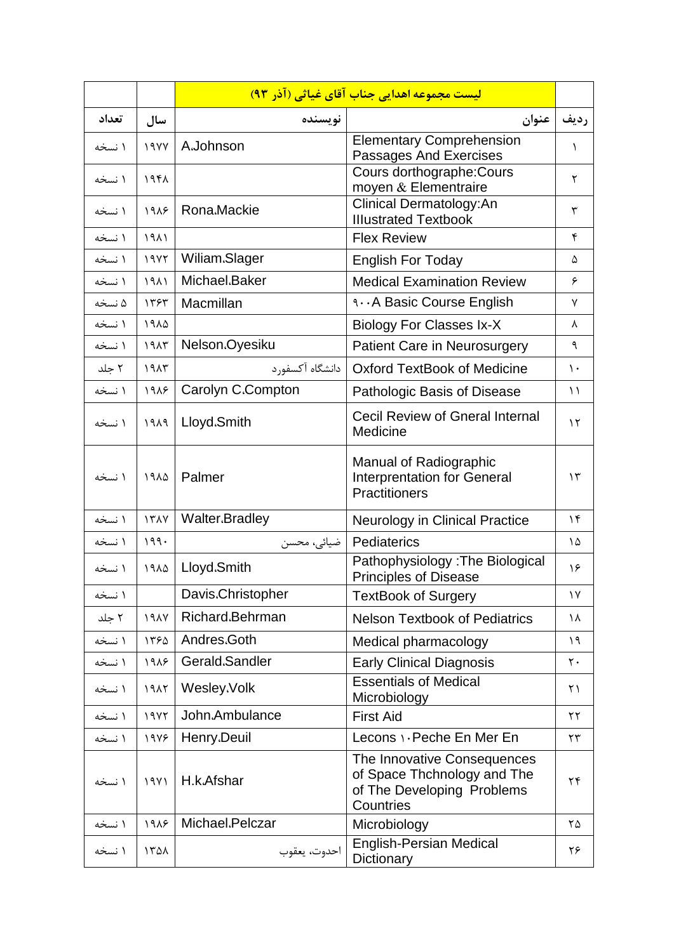|        |             |                   | <mark>لیست مجموعه اهدایی جناب آقای غیاثی (آذر ۹۳)</mark>                                              |                |
|--------|-------------|-------------------|-------------------------------------------------------------------------------------------------------|----------------|
| تعداد  | سال         | نويسنده           | عنوان                                                                                                 | رديف           |
| ۱ نسخه | 19YY        | A.Johnson         | <b>Elementary Comprehension</b><br>Passages And Exercises                                             | 1              |
| ۱ نسخه | ۱۹۴۸        |                   | Cours dorthographe: Cours<br>moyen & Elementraire                                                     | ٢              |
| ۱ نسخه | 1918        | Rona.Mackie       | Clinical Dermatology:An<br><b>Illustrated Textbook</b>                                                | ٣              |
| ۱ نسخه | 1911        |                   | <b>Flex Review</b>                                                                                    | ۴              |
| ۱ نسخه | 19YY        | Wiliam.Slager     | <b>English For Today</b>                                                                              | ۵              |
| ۱ نسخه | 1911        | Michael.Baker     | <b>Medical Examination Review</b>                                                                     | ۶              |
| ۵ نسخه | ۱۳۶۳        | Macmillan         | <b>1A Basic Course English</b>                                                                        | ٧              |
| ۱ نسخه | 1914        |                   | <b>Biology For Classes Ix-X</b>                                                                       | λ              |
| ۱ نسخه | 1917        | Nelson.Oyesiku    | Patient Care in Neurosurgery                                                                          | ٩              |
| ۲ جلد  | 1917        | دانشگاه آکسفورد   | <b>Oxford TextBook of Medicine</b>                                                                    | ۱۰             |
| ۱ نسخه | 1918        | Carolyn C.Compton | Pathologic Basis of Disease                                                                           | $\setminus$    |
| ۱ نسخه | 1919        | Lloyd.Smith       | <b>Cecil Review of Gneral Internal</b><br>Medicine                                                    | $\lambda \tau$ |
| ۱ نسخه | ۱۹۸۵        | Palmer            | <b>Manual of Radiographic</b><br><b>Interprentation for General</b><br>Practitioners                  | $\gamma$       |
| ۱ نسخه | <b>ITAY</b> | Walter.Bradley    | <b>Neurology in Clinical Practice</b>                                                                 | ۱۴             |
| ۱ نسخه | 199.        | ضیائی، محسن       | Pediaterics                                                                                           | ١۵             |
| ۱ نسخه | ١٩٨۵        | Lloyd.Smith       | Pathophysiology: The Biological<br><b>Principles of Disease</b>                                       | ۱۶             |
| ۱ نسخه |             | Davis.Christopher | <b>TextBook of Surgery</b>                                                                            | $\gamma$       |
| ۲ جلد  | <b>191V</b> | Richard.Behrman   | <b>Nelson Textbook of Pediatrics</b>                                                                  | ١٨             |
| ۱ نسخه | 1580        | Andres.Goth       | Medical pharmacology                                                                                  | ۱۹             |
| ۱ نسخه | 1918        | Gerald.Sandler    | <b>Early Clinical Diagnosis</b>                                                                       | ٢٠             |
| ۱ نسخه | 1917        | Wesley.Volk       | <b>Essentials of Medical</b><br>Microbiology                                                          | $\uparrow$ )   |
| ۱ نسخه | 19YY        | John.Ambulance    | <b>First Aid</b>                                                                                      | $\mathbf{r}$   |
| ۱ نسخه | 1978        | Henry.Deuil       | Lecons \ . Peche En Mer En                                                                            | $\mathbf{r}$   |
| ۱ نسخه | 19Y1        | H.k.Afshar        | The Innovative Consequences<br>of Space Thchnology and The<br>of The Developing Problems<br>Countries | ۲۴             |
| ۱ نسخه | 1918        | Michael.Pelczar   | Microbiology                                                                                          | ۲۵             |
| ۱ نسخه | 1501        | احدوت، يعقوب      | <b>English-Persian Medical</b><br>Dictionary                                                          | ۲۶             |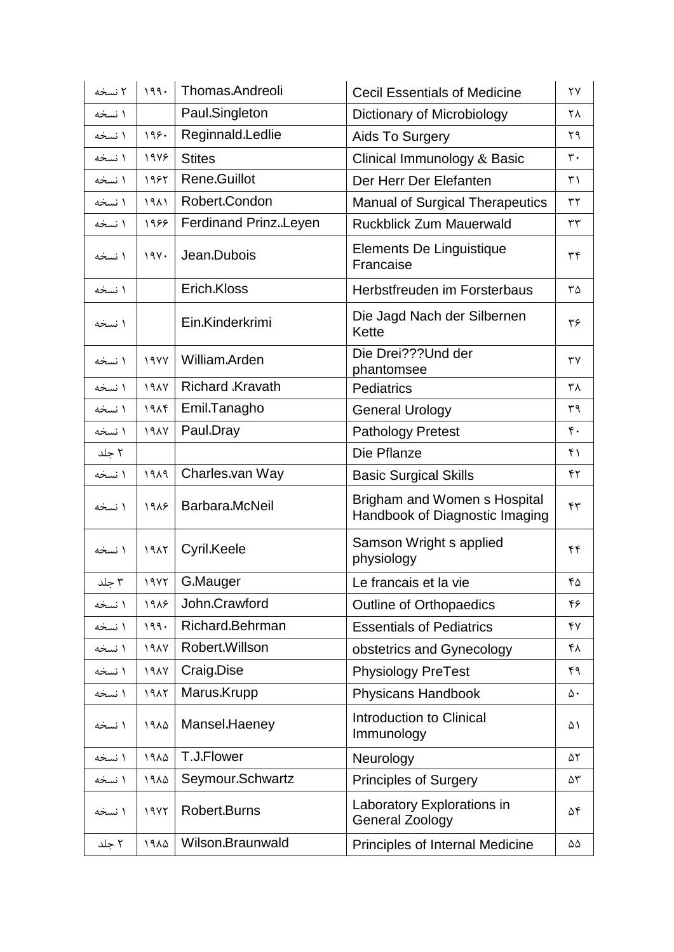| ۲ نسخه | 199.        | Thomas.Andreoli        | <b>Cecil Essentials of Medicine</b>                            | ۲۷             |
|--------|-------------|------------------------|----------------------------------------------------------------|----------------|
| ۱ نسخه |             | Paul.Singleton         | Dictionary of Microbiology                                     | ٢٨             |
| ۱ نسخه | 199.        | Reginnald.Ledlie       | Aids To Surgery                                                | ٢٩             |
| ۱ نسخه | 1978        | <b>Stites</b>          | Clinical Immunology & Basic                                    | $\mathbf{r}$ . |
| ۱ نسخه | 1985        | Rene.Guillot           | Der Herr Der Elefanten                                         | ٣١             |
| ۱ نسخه | 1911        | Robert.Condon          | <b>Manual of Surgical Therapeutics</b>                         | $\mathbf{r}$   |
| ۱ نسخه | 1988        | Ferdinand Prinz.Leyen  | <b>Ruckblick Zum Mauerwald</b>                                 | $\tau\tau$     |
| ۱ نسخه | 19Y.        | Jean.Dubois            | Elements De Linguistique<br>Francaise                          | ٣۴             |
| ۱ نسخه |             | Erich.Kloss            | Herbstfreuden im Forsterbaus                                   | ٣۵             |
| ۱ نسخه |             | Ein.Kinderkrimi        | Die Jagd Nach der Silbernen<br>Kette                           | ٣۶             |
| ۱ نسخه | 19YY        | William.Arden          | Die Drei???Und der<br>phantomsee                               | ٣٧             |
| ۱ نسخه | <b>191V</b> | <b>Richard Kravath</b> | <b>Pediatrics</b>                                              | ۳۸             |
| ۱ نسخه | 191f        | Emil.Tanagho           | <b>General Urology</b>                                         | ٣٩             |
| ۱ نسخه | 19AY        | Paul.Dray              | <b>Pathology Pretest</b>                                       | ۴.             |
| ۲ جلد  |             |                        | Die Pflanze                                                    | ۴۱             |
| ۱ نسخه | PAP         | Charles.van Way        | <b>Basic Surgical Skills</b>                                   | ۴٢             |
| ۱ نسخه | 1918        | Barbara.McNeil         | Brigham and Women s Hospital<br>Handbook of Diagnostic Imaging | ۴٣             |
| ۱ نسخه | 1917        | Cyril.Keele            | Samson Wright s applied<br>physiology                          | ۴۴             |
| ۳ حلد  | 19Y         | G.Mauger               | Le francais et la vie                                          | ۴۵             |
| ۱ نسخه | 1918        | John.Crawford          | <b>Outline of Orthopaedics</b>                                 | ۴۶             |
| ۱ نسخه | 199.        | Richard.Behrman        | <b>Essentials of Pediatrics</b>                                | ۴٧             |
| ۱ نسخه | 1917        | Robert.Willson         | obstetrics and Gynecology                                      | ۴۸             |
| ۱ نسخه | 19AY        | Craig.Dise             | <b>Physiology PreTest</b>                                      | ۴۹             |
| ۱ نسخه | 1917        | Marus.Krupp            | <b>Physicans Handbook</b>                                      | $\Delta \cdot$ |
| ۱ نسخه | ١٩٨۵        | Mansel.Haeney          | Introduction to Clinical<br>Immunology                         | ۵۱             |
| ۱ نسخه | 1910        | T.J.Flower             | Neurology                                                      | ۵۲             |
| ۱ نسخه | 1910        | Seymour.Schwartz       | <b>Principles of Surgery</b>                                   | ۵٣             |
| ۱ نسخه | 19YY        | Robert.Burns           | Laboratory Explorations in<br><b>General Zoology</b>           | ۵۴             |
| ۲ جلد  | ١٩٨۵        | Wilson.Braunwald       | Principles of Internal Medicine                                | ۵۵             |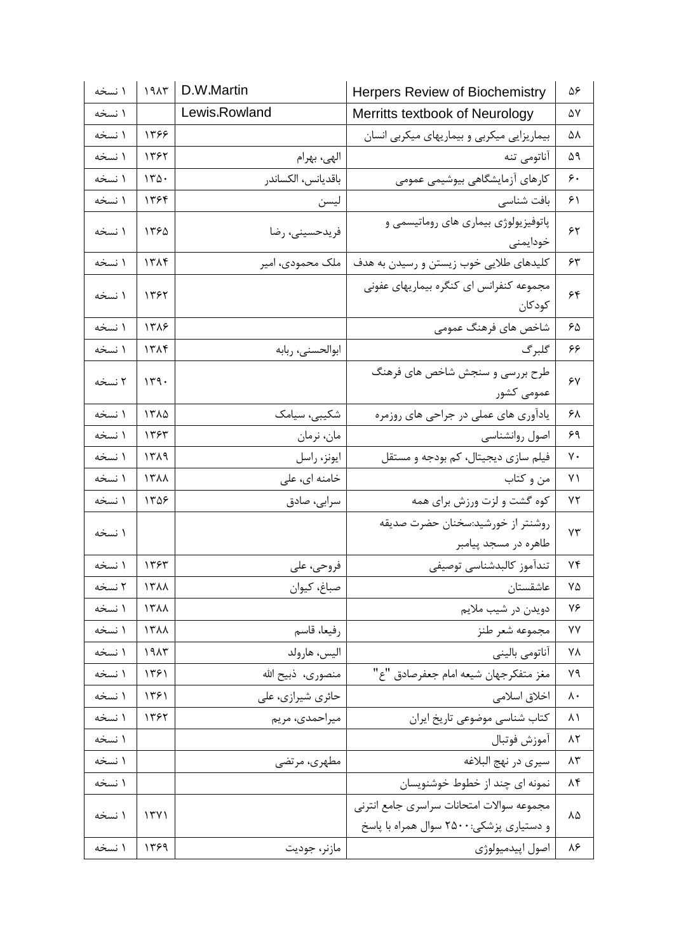| ۱ نسخه | ۱۹۸۳ | D.W.Martin         | <b>Herpers Review of Biochemistry</b>      | ۵۶                 |
|--------|------|--------------------|--------------------------------------------|--------------------|
| ۱ نسخه |      | Lewis.Rowland      | Merritts textbook of Neurology             | ۵۷                 |
| ۱ نسخه | 1398 |                    | بیماریزایی میکربی و بیماریهای میکربی انسان | ۵۸                 |
| ۱ نسخه | ۱۳۶۲ | الهي، بهرام        | آناتومي تنه                                | ۵۹                 |
| ۱ نسخه | 170. | باقديانس، الكساندر | كارهاى آزمايشگاهي بيوشيمي عمومي            | ۶۰                 |
| ۱ نسخه | ۱۳۶۴ | ليسن               | بافت شناسی                                 | ۶۱                 |
| ۱ نسخه | ۱۳۶۵ | فريدحسيني، رضا     | پاتوفیزیولوژی بیماری های روماتیسمی و       | $\gamma$           |
|        |      |                    | خودايمنى                                   |                    |
| ۱ نسخه | 1719 | ملک محمودی، امیر   | كليدهاي طلايي خوب زيستن و رسيدن به هدف     | ۶۳                 |
| ۱ نسخه | ۱۳۶۲ |                    | مجموعه کنفرانس ای کنگره بیماریهای عفونی    | ۶۴                 |
|        |      |                    | كودكان                                     |                    |
| ۱ نسخه | ۱۳۸۶ |                    | شاخص های فرهنگ عمومی                       | ۶۵                 |
| ۱ نسخه | ۱۳۸۴ | ابوالحسنى، ربابه   | گلبرگ                                      | ۶۶                 |
| ۲ نسخه | 149. |                    | طرح بررسی و سنجش شاخص های فرهنگ            | $\gamma$           |
|        |      |                    | عمومی کشور                                 |                    |
| ۱ نسخه | ١٣٨۵ | شکیبی، سیامک       | یادآوری های عملی در جراحی های روزمره       | ۶۸                 |
| ۱ نسخه | ۱۳۶۳ | مان، نرمان         | اصول روانشناسي                             | ۶۹                 |
| ۱ نسخه | ۱۳۸۹ | ايونز، راسل        | فیلم سازی دیجیتال، کم بودجه و مستقل        | γ٠                 |
| ۱ نسخه | 1311 | خامنه ای، علی      | من و کتاب                                  | ۷۱                 |
| ۱ نسخه | 1308 | سرابى، صادق        | کوه گشت و لزت ورزش برای همه                | ۷۲                 |
| ۱ نسخه |      |                    | روشنتر از خورشيد:سخنان حضرت صديقه          | ٧٣                 |
|        |      |                    | طاهره در مسجد پیامبر                       |                    |
| ۱ نسخه | ۱۳۶۳ | فروحي، على         | تندآموز كالبدشناسي توصيفي                  | ۷۴                 |
| ۲ نسخه | 1711 | صباغ، كيوان        | عاشقستان                                   | ۷۵                 |
| ۱ نسخه | 1711 |                    | دويدن در شيب ملايم                         | ٧۶                 |
| ۱ نسخه | 1711 | رفيعا، قاسم        | مجموعه شعر طنز                             | ٧Y                 |
| ۱ نسخه | 1915 | اليس، هارولد       | آناتومي باليني                             | ۷۸                 |
| ۱ نسخه | ۱۳۶۱ | منصوري، ذبيح الله  | مغز متفكرجهان شيعه امام جعفرصادق "ع"       | ٧٩                 |
| ۱ نسخه | ۱۳۶۱ | حائري شيرازي، على  | اخلاق اسلامي                               | $\lambda \cdot$    |
| ۱ نسخه | 1395 | ميراحمدي، مريم     | كتاب شناسي موضوعي تاريخ ايران              | ۸۱                 |
| ۱ نسخه |      |                    | آموزش فوتبال                               | $\Lambda \Upsilon$ |
| ۱ نسخه |      | مطهري، مرتضى       | سيري در نهج البلاغه                        | ۸۳                 |
| ۱ نسخه |      |                    | نمونه ای چند از خطوط خوشنویسان             | ۸۴                 |
| ۱ نسخه | 1511 |                    | مجموعه سوالات امتحانات سراسرى جامع انترنى  | ٨۵                 |
|        |      |                    | و دستیاری پزشکی:۲۵۰۰ سوال همراه با پاسخ    |                    |
| ۱ نسخه | ۱۳۶۹ | مازنر، جوديت       | اصول اپيدميولوژي                           | ٨۶                 |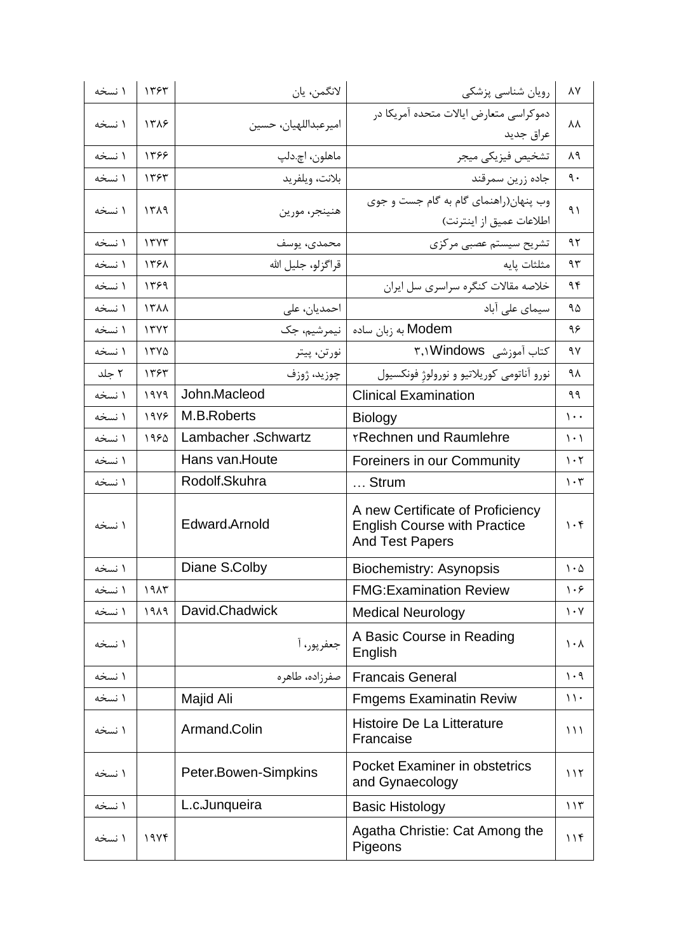| ۱ نسخه | 1٣۶٣ | لانگمن، يان          | رویان شناسی پزشکی                                                                                 | $\lambda\mathrm{V}$             |
|--------|------|----------------------|---------------------------------------------------------------------------------------------------|---------------------------------|
| ۱ نسخه | 1318 |                      | دموكراسي متعارض ايالات متحده آمريكا در                                                            | λV                              |
|        |      | اميرعبداللهيان، حسين | عراق جديد                                                                                         |                                 |
| ۱ نسخه | 1398 | ماهلون، اچ.دلپ       | تشخيص فيزيكي ميجر                                                                                 | ۸۹                              |
| ۱ نسخه | ١٣۶٣ | بلانت، ويلفريد       | جاده زرين سمرقند                                                                                  | ٩.                              |
|        |      |                      | وب پنهان(راهنمای گام به گام جست و جوی                                                             | ۹١                              |
| ۱ نسخه | ۱۳۸۹ | هنينجر، مورين        | اطلاعات عميق از اينترنت)                                                                          |                                 |
| ۱ نسخه | 17YY | محمدى، يوسف          | تشریح سیستم عصبی مرکزی                                                                            | ۹۲                              |
| ۱ نسخه | 1391 | قراگزلو، جليل الله   | مثلثات يايه                                                                                       | ۹۳                              |
| ۱ نسخه | ۱۳۶۹ |                      | خلاصه مقالات كنگره سراسري سل ايران                                                                | ۹۴                              |
| ۱ نسخه | 1٣٨٨ | احمدیان، علی         | سیمای علی آباد                                                                                    | ۹۵                              |
| ۱ نسخه | 1777 | نيمرشيم، جک          | Modem به زبان ساده                                                                                | ۹۶                              |
| ۱ نسخه | 1570 | نورتن، پيتر          | کتاب آموزشی ۳٫۱Windows                                                                            | ۹۷                              |
| ۲ جلد  | ۱۳۶۳ | چوزيد، ژوزف          | نورو آناتومي كوريلاتيو و نورولوژ فونكسيول                                                         | ۹۸                              |
| ۱ نسخه | ۱۹۷۹ | John.Macleod         | <b>Clinical Examination</b>                                                                       | ۹۹                              |
| ۱ نسخه | 1978 | M.B.Roberts          | <b>Biology</b>                                                                                    | $\mathcal{L}$ .                 |
| ۱ نسخه | 1980 | Lambacher .Schwartz  | <b>TRechnen und Raumlehre</b>                                                                     | $\langle \cdot \rangle$         |
| ۱ نسخه |      | Hans van.Houte       | Foreiners in our Community                                                                        | $\mathcal{N} \cdot \mathcal{N}$ |
| ۱ نسخه |      | Rodolf.Skuhra        | Strum                                                                                             | $\mathcal{N} \cdot \mathcal{N}$ |
| ۱ نسخه |      | Edward.Arnold        | A new Certificate of Proficiency<br><b>English Course with Practice</b><br><b>And Test Papers</b> | $\cdot$ ۴                       |
| ۱ نسخه |      | Diane S.Colby        | <b>Biochemistry: Asynopsis</b>                                                                    | $\mathcal{N}\cdot\mathcal{Q}$   |
| ۱ نسخه | ۱۹۸۳ |                      | <b>FMG: Examination Review</b>                                                                    | ۱۰۶                             |
| ۱ نسخه | PAP  | David.Chadwick       | <b>Medical Neurology</b>                                                                          | $\mathcal{N} \cdot \mathcal{N}$ |
| ۱ نسخه |      | جعفرپور، آ           | A Basic Course in Reading<br>English                                                              | $\lambda \cdot \lambda$         |
| ۱ نسخه |      | صفرزاده، طاهره       | <b>Francais General</b>                                                                           | $\eta \cdot \eta$               |
| ۱ نسخه |      | Majid Ali            | <b>Fmgems Examinatin Reviw</b>                                                                    | $\backslash \backslash$ .       |
| ۱ نسخه |      | Armand.Colin         | Histoire De La Litterature<br>Francaise                                                           | $\binom{1}{1}$                  |
| ۱ نسخه |      | Peter.Bowen-Simpkins | <b>Pocket Examiner in obstetrics</b><br>and Gynaecology                                           | 117                             |
| ۱ نسخه |      | L.c.Junqueira        | <b>Basic Histology</b>                                                                            | 115                             |
| ۱ نسخه | 19Yf |                      | Agatha Christie: Cat Among the<br>Pigeons                                                         | 11f                             |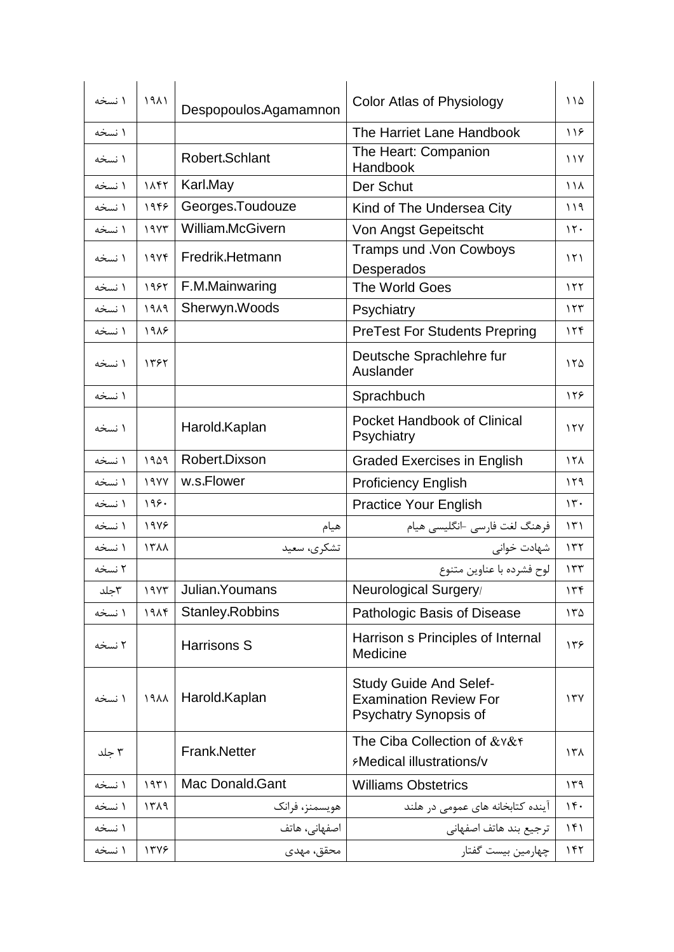| ۱ نسخه | 1911    | Despopoulos.Agamamnon | Color Atlas of Physiology                                                               | ۱۱۵               |
|--------|---------|-----------------------|-----------------------------------------------------------------------------------------|-------------------|
| ۱ نسخه |         |                       | The Harriet Lane Handbook                                                               | 119               |
| ۱ نسخه |         | Robert.Schlant        | The Heart: Companion<br>Handbook                                                        | $\frac{1}{2}$     |
| ۱ نسخه | 1147    | Karl.May              | Der Schut                                                                               | $\lambda/\lambda$ |
| ۱ نسخه | 1959    | Georges.Toudouze      | Kind of The Undersea City                                                               | ۱۱۹               |
| ۱ نسخه | 19YY    | William.McGivern      | Von Angst Gepeitscht                                                                    | $\mathcal{N}$ .   |
| ۱ نسخه | 19Yf    | Fredrik.Hetmann       | Tramps und .Von Cowboys<br>Desperados                                                   | $\binom{1}{1}$    |
| ۱ نسخه | 1985    | F.M.Mainwaring        | The World Goes                                                                          | 155               |
| ۱ نسخه | PAP     | Sherwyn.Woods         | Psychiatry                                                                              | 157               |
| ۱ نسخه | 1918    |                       | <b>PreTest For Students Prepring</b>                                                    | 156               |
| ۱ نسخه | 1392    |                       | Deutsche Sprachlehre fur<br>Auslander                                                   | 150               |
| ۱ نسخه |         |                       | Sprachbuch                                                                              | 128               |
| ۱ نسخه |         | Harold.Kaplan         | <b>Pocket Handbook of Clinical</b><br>Psychiatry                                        | 15Y               |
| ۱ نسخه | 1909    | Robert.Dixson         | <b>Graded Exercises in English</b>                                                      | 15 <sub>A</sub>   |
| ۱ نسخه | 19YY    | w.s.Flower            | <b>Proficiency English</b>                                                              | ۱۲۹               |
| ۱ نسخه | 199.    |                       | <b>Practice Your English</b>                                                            | $\mathcal{N}$ .   |
| ۱ نسخه | $19Y$ ۶ | هيام                  | فرهنگ لغت فارسی –انگلیسی هیام                                                           | ۱۳۱               |
| ۱ نسخه | 1٣٨٨    | تشكري، سعيد           | شهادت خوانى                                                                             | ۱۳۲               |
| ۲ نسخه |         |                       | لوح فشرده با عناوين متنوع                                                               | 157               |
| ٣جلد   |         | 1977 Julian. Youmans  | Neurological Surgery/                                                                   | 156               |
| ۱ نسخه | 191f    | Stanley.Robbins       | Pathologic Basis of Disease                                                             | ۱۳۵               |
| ۲ نسخه |         | Harrisons S           | Harrison s Principles of Internal<br>Medicine                                           | ۱۳۶               |
| ۱ نسخه | 1911    | Harold.Kaplan         | <b>Study Guide And Selef-</b><br><b>Examination Review For</b><br>Psychatry Synopsis of | 177               |
| ۳ جلد  |         | <b>Frank.Netter</b>   | The Ciba Collection of & v& f<br><b>EMedical illustrations/v</b>                        | ۱۳۸               |
| ۱ نسخه | ۱۹۳۱    | Mac Donald.Gant       | <b>Williams Obstetrics</b>                                                              | ۱۳۹               |
| ۱ نسخه | 1511    | هويسمنز، فرانک        | آینده کتابخانه های عمومی در هلند                                                        | 14.               |
| ۱ نسخه |         | اصفهانی، هاتف         | ترجيع بند هاتف اصفهاني                                                                  | 141               |
| ۱ نسخه | 1378    | محقق، مهدى            | چهارمين بيست گفتار                                                                      | ۱۴۲               |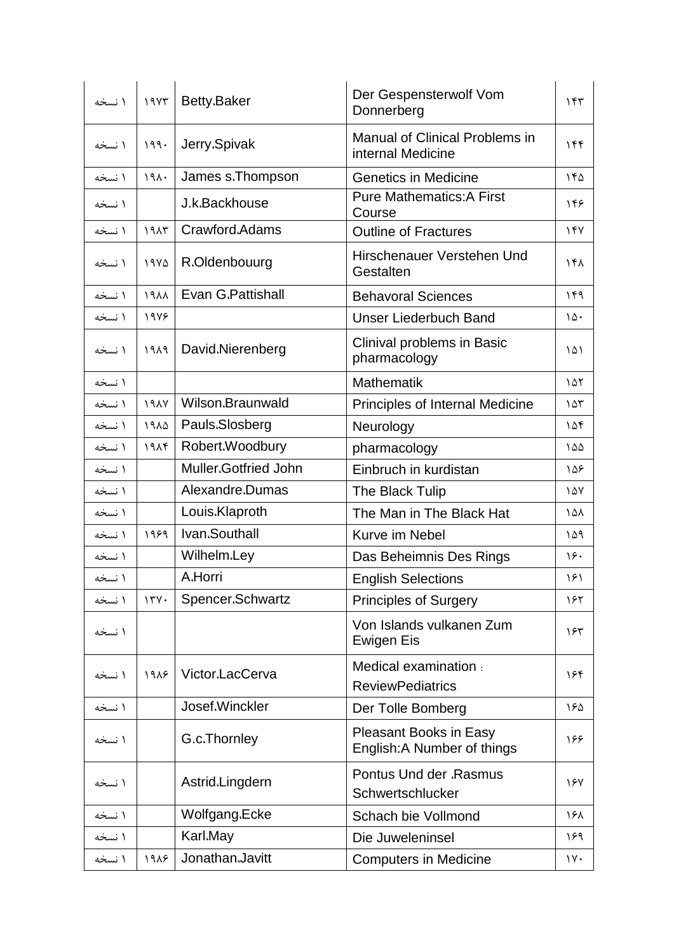| ۱ نسخه | 19Y       | Betty.Baker                 | Der Gespensterwolf Vom<br>Donnerberg                         | ۱۴۳                |
|--------|-----------|-----------------------------|--------------------------------------------------------------|--------------------|
| ۱ نسخه | 199.      | Jerry.Spivak                | <b>Manual of Clinical Problems in</b><br>internal Medicine   | 156                |
| ۱ نسخه | 191.      | James s.Thompson            | <b>Genetics in Medicine</b>                                  | ١۴۵                |
| ۱ نسخه |           | J.k.Backhouse               | <b>Pure Mathematics: A First</b><br>Course                   | 148                |
| ۱ نسخه | 1915      | Crawford.Adams              | <b>Outline of Fractures</b>                                  | 14V                |
| ۱ نسخه | 1970      | R.Oldenbouurg               | Hirschenauer Verstehen Und<br>Gestalten                      | 15 <sub>A</sub>    |
| ۱ نسخه | $\lambda$ | Evan G.Pattishall           | <b>Behavoral Sciences</b>                                    | ۱۴۹                |
| ۱ نسخه | 1988      |                             | <b>Unser Liederbuch Band</b>                                 | ١۵٠                |
| ۱ نسخه | 1919      | David.Nierenberg            | Clinival problems in Basic<br>pharmacology                   | ۱۵۱                |
| ۱ نسخه |           |                             | <b>Mathematik</b>                                            | 101                |
| ۱ نسخه | YAY       | Wilson.Braunwald            | Principles of Internal Medicine                              | ۱۵۳                |
| ۱ نسخه | 1910      | Pauls.Slosberg              | Neurology                                                    | ۱۵۴                |
| ۱ نسخه | 191f      | Robert.Woodbury             | pharmacology                                                 | ۱۵۵                |
| ۱ نسخه |           | <b>Muller.Gotfried John</b> | Einbruch in kurdistan                                        | ۱۵۶                |
| ۱ نسخه |           | Alexandre.Dumas             | The Black Tulip                                              | $\lambda \Delta V$ |
| ۱ نسخه |           | Louis.Klaproth              | The Man in The Black Hat                                     | ١۵٨                |
| ۱ نسخه | 1989      | Ivan.Southall               | Kurve im Nebel                                               | ۱۵۹                |
| ۱ نسخه |           | Wilhelm.Ley                 | Das Beheimnis Des Rings                                      | ۱۶۰                |
| ۱ نسخه |           | A.Horri                     | <b>English Selections</b>                                    | ۱۶۱                |
| ۱ نسخه | 174.      | Spencer.Schwartz            | <b>Principles of Surgery</b>                                 | ۱۶۲                |
| ۱ نسخه |           |                             | Von Islands vulkanen Zum<br><b>Ewigen Eis</b>                | ۱۶۳                |
| ۱ نسخه | 1918      | Victor.LacCerva             | Medical examination :<br><b>ReviewPediatrics</b>             | ۱۶۴                |
| ۱ نسخه |           | Josef.Winckler              | Der Tolle Bomberg                                            | ١۶۵                |
| ۱ نسخه |           | G.c.Thornley                | <b>Pleasant Books in Easy</b><br>English: A Number of things | ۱۶۶                |
| ۱ نسخه |           | Astrid.Lingdern             | <b>Pontus Und der .Rasmus</b><br>Schwertschlucker            | 187                |
| ۱ نسخه |           | Wolfgang.Ecke               | Schach bie Vollmond                                          | ۱۶۸                |
| ۱ نسخه |           | Karl.May                    | Die Juweleninsel                                             | ۱۶۹                |
| ۱ نسخه | 1918      | Jonathan.Javitt             | <b>Computers in Medicine</b>                                 | $\gamma$           |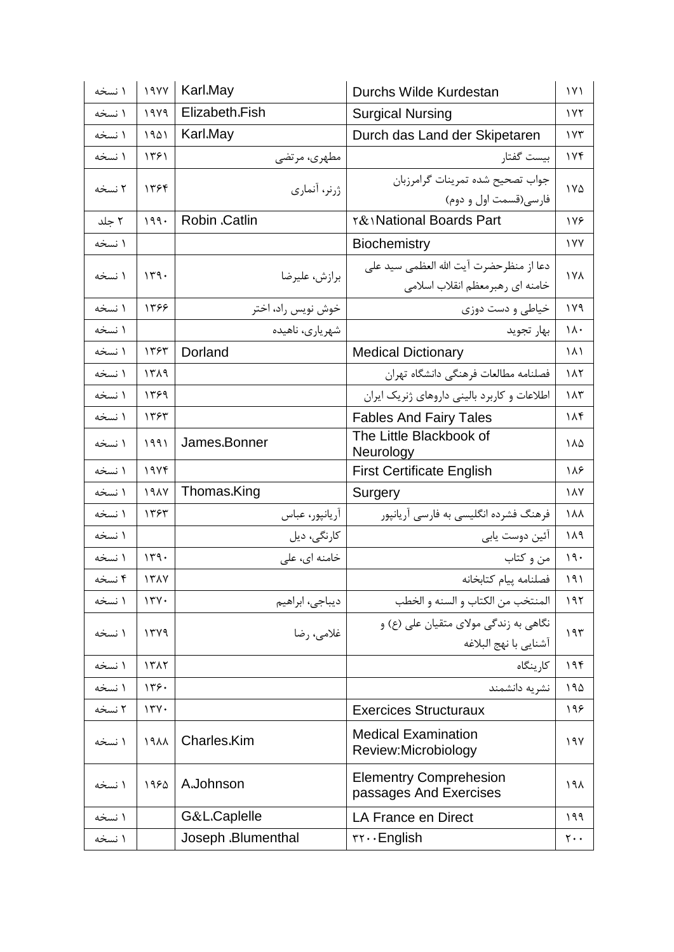| ۱ نسخه | 19YY | Karl.May           | Durchs Wilde Kurdestan                                                     | $\gamma$                    |
|--------|------|--------------------|----------------------------------------------------------------------------|-----------------------------|
| ۱ نسخه | 1949 | Elizabeth.Fish     | <b>Surgical Nursing</b>                                                    | 1Y <sub>Y</sub>             |
| ۱ نسخه | 1901 | Karl.May           | Durch das Land der Skipetaren                                              | ۱۷۳                         |
| ۱ نسخه | ۱۳۶۱ | مطهری، مرتضی       | بيست گفتار                                                                 | ۱۷۴                         |
| ۲ نسخه | ۱۳۶۴ | ژرنر، آنماری       | جواب تصحيح شده تمرينات گرامرزبان<br>فارسی(قسمت اول و دوم)                  | ١٧۵                         |
| ۲ جلد  | 199. | Robin .Catlin      | <b>T&amp; National Boards Part</b>                                         | 178                         |
| ۱ نسخه |      |                    | <b>Biochemistry</b>                                                        | <b>IVY</b>                  |
| ۱ نسخه | 149. | برازش، عليرضا      | دعا از منظرحضرت آيت الله العظمى سيد على<br>خامنه ای رهبرمعظم انقلاب اسلامی | <b>177</b>                  |
| ۱ نسخه | 1398 | خوش نويس راد، اختر | خیاطی و دست دوزی                                                           | ۱۷۹                         |
| ۱ نسخه |      | شهریاری، ناهیده    | بهار تجويد                                                                 | $\lambda \cdot$             |
| ۱ نسخه | ١٣۶٣ | Dorland            | <b>Medical Dictionary</b>                                                  | ۱۸۱                         |
| ۱ نسخه | ۱۳۸۹ |                    | فصلنامه مطالعات فرهنگي دانشگاه تهران                                       | ۱۸۲                         |
| ۱ نسخه | ۱۳۶۹ |                    | اطلاعات و کاربرد بالینی داروهای ژنریک ایران                                | ۱۸۳                         |
| ۱ نسخه | 1393 |                    | <b>Fables And Fairy Tales</b>                                              | ۱۸۴                         |
| ۱ نسخه | 1991 | James.Bonner       | The Little Blackbook of<br>Neurology                                       | ۱۸۵                         |
| ۱ نسخه | 19Yf |                    | <b>First Certificate English</b>                                           | ۱۸۶                         |
| ۱ نسخه | 1917 | Thomas.King        | Surgery                                                                    | $\lambda$                   |
| ۱ نسخه | 1393 | آريانپور، عباس     | فرهنگ فشرده انگلیسی به فارسی آریانپور                                      | ۱۸۸                         |
| ۱ نسخه |      | كارنگى، ديل        | آئین دوست یابی                                                             | ۱۸۹                         |
| ۱ نسخه | 149. | خامنه ای، علی      | من و کتاب                                                                  | 19.                         |
| ۴ نسخه | 1317 |                    | فصلنامه ييام كتابخانه                                                      | ۱۹۱                         |
| ۱ نسخه | 17Y. | ديباجي، ابراهيم    | المنتخب من الكتاب و السنه و الخطب                                          | 191                         |
| ۱ نسخه | 1749 | غلامی، رضا         | نگاهی به زندگی مولای متقیان علی (ع) و<br>آشنايي با نهج البلاغه             | 195                         |
| ۱ نسخه | 1517 |                    | کارینگاه                                                                   | ۱۹۴                         |
| ۱ نسخه | ۱۳۶۰ |                    | نشريه دانشمند                                                              | ۱۹۵                         |
| ۲ نسخه | 17Y. |                    | <b>Exercices Structuraux</b>                                               | ۱۹۶                         |
| ۱ نسخه | 1911 | Charles.Kim        | <b>Medical Examination</b><br>Review:Microbiology                          | ۱۹۷                         |
| ۱ نسخه | ١٩۶۵ | A.Johnson          | <b>Elementry Comprehesion</b><br>passages And Exercises                    | ۱۹۸                         |
| ۱ نسخه |      | G&L.Caplelle       | LA France en Direct                                                        | ۱۹۹                         |
| ۱ نسخه |      | Joseph .Blumenthal | $rr \cdots$ English                                                        | $\mathsf{r}\cdot\mathsf{.}$ |